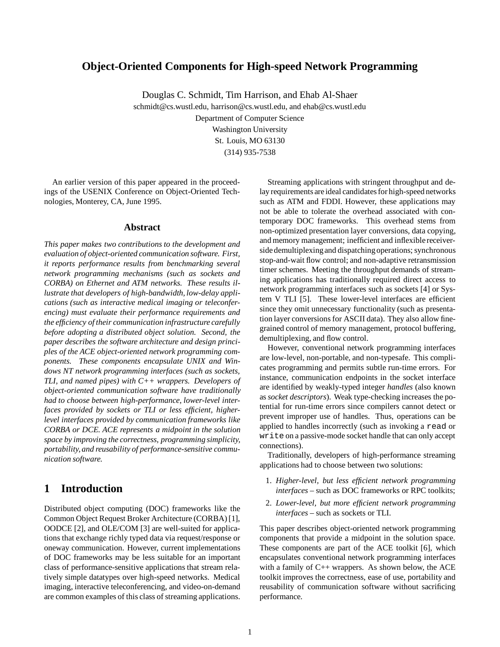## **Object-Oriented Components for High-speed Network Programming**

Douglas C. Schmidt, Tim Harrison, and Ehab Al-Shaer

schmidt@cs.wustl.edu, harrison@cs.wustl.edu, and ehab@cs.wustl.edu Department of Computer Science Washington University St. Louis, MO 63130 (314) 935-7538

An earlier version of this paper appeared in the proceedings of the USENIX Conference on Object-Oriented Technologies, Monterey, CA, June 1995.

## **Abstract**

*This paper makes two contributions to the development and evaluation of object-oriented communication software. First, it reports performance results from benchmarking several network programming mechanisms (such as sockets and CORBA) on Ethernet and ATM networks. These results illustrate that developers of high-bandwidth, low-delay applications (such as interactive medical imaging or teleconferencing) must evaluate their performance requirements and the efficiency of their communication infrastructure carefully before adopting a distributed object solution. Second, the paper describes the software architecture and design principles of the ACE object-oriented network programming components. These components encapsulate UNIX and Windows NT network programming interfaces (such as sockets, TLI, and named pipes) with C++ wrappers. Developers of object-oriented communication software have traditionally had to choose between high-performance, lower-level interfaces provided by sockets or TLI or less efficient, higherlevel interfaces provided by communication frameworks like CORBA or DCE. ACE represents a midpoint in the solution space by improving the correctness, programming simplicity, portability, and reusability of performance-sensitive communication software.*

## **1 Introduction**

Distributed object computing (DOC) frameworks like the Common Object Request Broker Architecture (CORBA) [1], OODCE [2], and OLE/COM [3] are well-suited for applications that exchange richly typed data via request/response or oneway communication. However, current implementations of DOC frameworks may be less suitable for an important class of performance-sensitive applications that stream relatively simple datatypes over high-speed networks. Medical imaging, interactive teleconferencing, and video-on-demand are common examples of this class of streaming applications.

Streaming applications with stringent throughput and delay requirements are ideal candidates for high-speed networks such as ATM and FDDI. However, these applications may not be able to tolerate the overhead associated with contemporary DOC frameworks. This overhead stems from non-optimized presentation layer conversions, data copying, and memory management; inefficient and inflexible receiverside demultiplexing and dispatching operations; synchronous stop-and-wait flow control; and non-adaptive retransmission timer schemes. Meeting the throughput demands of streaming applications has traditionally required direct access to network programming interfaces such as sockets [4] or System V TLI [5]. These lower-level interfaces are efficient since they omit unnecessary functionality (such as presentation layer conversions for ASCII data). They also allow finegrained control of memory management, protocol buffering, demultiplexing, and flow control.

However, conventional network programming interfaces are low-level, non-portable, and non-typesafe. This complicates programming and permits subtle run-time errors. For instance, communication endpoints in the socket interface are identified by weakly-typed integer *handles* (also known as*socket descriptors*). Weak type-checking increases the potential for run-time errors since compilers cannot detect or prevent improper use of handles. Thus, operations can be applied to handles incorrectly (such as invoking a read or write on a passive-mode socket handle that can only accept connections).

Traditionally, developers of high-performance streaming applications had to choose between two solutions:

- 1. *Higher-level, but less efficient network programming interfaces* – such as DOC frameworks or RPC toolkits;
- 2. *Lower-level, but more efficient network programming interfaces* – such as sockets or TLI.

This paper describes object-oriented network programming components that provide a midpoint in the solution space. These components are part of the ACE toolkit [6], which encapsulates conventional network programming interfaces with a family of  $C_{++}$  wrappers. As shown below, the ACE toolkit improves the correctness, ease of use, portability and reusability of communication software without sacrificing performance.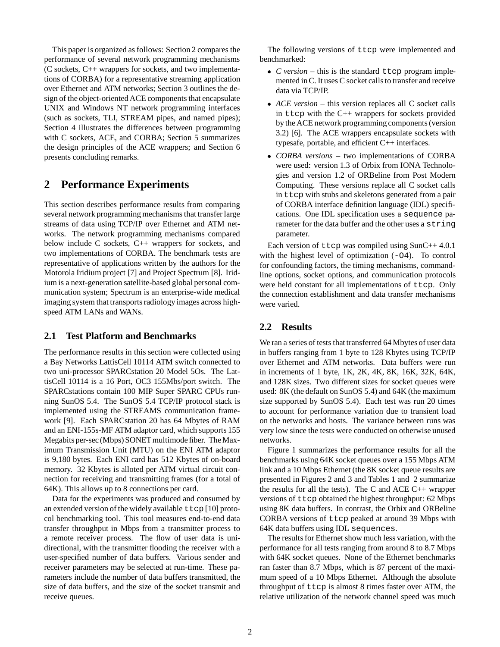This paper is organized as follows: Section 2 compares the performance of several network programming mechanisms (C sockets, C++ wrappers for sockets, and two implementations of CORBA) for a representative streaming application over Ethernet and ATM networks; Section 3 outlines the design of the object-oriented ACE components that encapsulate UNIX and Windows NT network programming interfaces (such as sockets, TLI, STREAM pipes, and named pipes); Section 4 illustrates the differences between programming with C sockets, ACE, and CORBA; Section 5 summarizes the design principles of the ACE wrappers; and Section 6 presents concluding remarks.

# **2 Performance Experiments**

This section describes performance results from comparing several network programming mechanisms that transfer large streams of data using TCP/IP over Ethernet and ATM networks. The network programming mechanisms compared below include C sockets, C++ wrappers for sockets, and two implementations of CORBA. The benchmark tests are representative of applications written by the authors for the Motorola Iridium project [7] and Project Spectrum [8]. Iridium is a next-generation satellite-based global personal communication system; Spectrum is an enterprise-wide medical imaging system that transports radiology images across highspeed ATM LANs and WANs.

## **2.1 Test Platform and Benchmarks**

The performance results in this section were collected using a Bay Networks LattisCell 10114 ATM switch connected to two uni-processor SPARCstation 20 Model 5Os. The LattisCell 10114 is a 16 Port, OC3 155Mbs/port switch. The SPARCstations contain 100 MIP Super SPARC CPUs running SunOS 5.4. The SunOS 5.4 TCP/IP protocol stack is implemented using the STREAMS communication framework [9]. Each SPARCstation 20 has 64 Mbytes of RAM and an ENI-155s-MF ATM adaptor card, which supports 155 Megabits per-sec (Mbps) SONET multimode fiber. The Maximum Transmission Unit (MTU) on the ENI ATM adaptor is 9,180 bytes. Each ENI card has 512 Kbytes of on-board memory. 32 Kbytes is alloted per ATM virtual circuit connection for receiving and transmitting frames (for a total of 64K). This allows up to 8 connections per card.

Data for the experiments was produced and consumed by an extended version of the widely available  $t \text{tcp}$  [10] protocol benchmarking tool. This tool measures end-to-end data transfer throughput in Mbps from a transmitter process to a remote receiver process. The flow of user data is unidirectional, with the transmitter flooding the receiver with a user-specified number of data buffers. Various sender and receiver parameters may be selected at run-time. These parameters include the number of data buffers transmitted, the size of data buffers, and the size of the socket transmit and receive queues.

The following versions of ttcp were implemented and benchmarked:

- *C version* this is the standard ttcp program implemented in C. It uses C socket calls to transfer and receive data via TCP/IP.
- *ACE version* this version replaces all C socket calls in ttcp with the  $C_{++}$  wrappers for sockets provided by the ACE network programming components (version 3.2) [6]. The ACE wrappers encapsulate sockets with typesafe, portable, and efficient C++ interfaces.
- *CORBA versions* two implementations of CORBA were used: version 1.3 of Orbix from IONA Technologies and version 1.2 of ORBeline from Post Modern Computing. These versions replace all C socket calls in ttcp with stubs and skeletons generated from a pair of CORBA interface definition language (IDL) specifications. One IDL specification uses a sequence parameter for the data buffer and the other uses a string parameter.

Each version of ttcp was compiled using SunC++ 4.0.1 with the highest level of optimization (-O4). To control for confounding factors, the timing mechanisms, commandline options, socket options, and communication protocols were held constant for all implementations of ttcp. Only the connection establishment and data transfer mechanisms were varied.

## **2.2 Results**

We ran a series of tests that transferred 64 Mbytes of user data in buffers ranging from 1 byte to 128 Kbytes using TCP/IP over Ethernet and ATM networks. Data buffers were run in increments of 1 byte, 1K, 2K, 4K, 8K, 16K, 32K, 64K, and 128K sizes. Two different sizes for socket queues were used: 8K (the default on SunOS 5.4) and 64K (the maximum size supported by SunOS 5.4). Each test was run 20 times to account for performance variation due to transient load on the networks and hosts. The variance between runs was very low since the tests were conducted on otherwise unused networks.

Figure 1 summarizes the performance results for all the benchmarks using 64K socket queues over a 155 Mbps ATM link and a 10 Mbps Ethernet (the 8K socket queue results are presented in Figures 2 and 3 and Tables 1 and 2 summarize the results for all the tests). The C and ACE  $C_{++}$  wrapper versions of ttcp obtained the highest throughput: 62 Mbps using 8K data buffers. In contrast, the Orbix and ORBeline CORBA versions of ttcp peaked at around 39 Mbps with 64K data buffers using IDL sequences.

The results for Ethernet show much less variation, with the performance for all tests ranging from around 8 to 8.7 Mbps with 64K socket queues. None of the Ethernet benchmarks ran faster than 8.7 Mbps, which is 87 percent of the maximum speed of a 10 Mbps Ethernet. Although the absolute throughput of ttcp is almost 8 times faster over ATM, the relative utilization of the network channel speed was much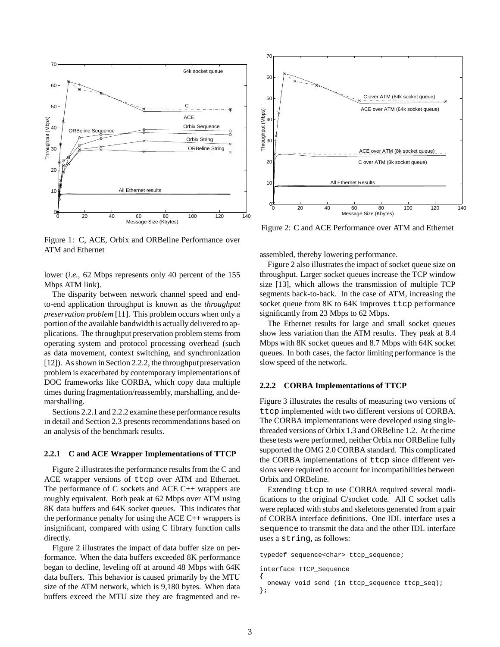

Figure 1: C, ACE, Orbix and ORBeline Performance over ATM and Ethernet

lower (*i.e.,* 62 Mbps represents only 40 percent of the 155 Mbps ATM link).

The disparity between network channel speed and endto-end application throughput is known as the *throughput preservation problem* [11]. This problem occurs when only a portion of the available bandwidth is actually delivered to applications. The throughput preservation problem stems from operating system and protocol processing overhead (such as data movement, context switching, and synchronization [12]). As shown in Section 2.2.2, the throughput preservation problem is exacerbated by contemporary implementations of DOC frameworks like CORBA, which copy data multiple times during fragmentation/reassembly, marshalling, and demarshalling.

Sections 2.2.1 and 2.2.2 examine these performance results in detail and Section 2.3 presents recommendations based on an analysis of the benchmark results.

#### **2.2.1 C and ACE Wrapper Implementations of TTCP**

Figure 2 illustrates the performance results from the C and ACE wrapper versions of ttcp over ATM and Ethernet. The performance of C sockets and ACE C++ wrappers are roughly equivalent. Both peak at 62 Mbps over ATM using 8K data buffers and 64K socket queues. This indicates that the performance penalty for using the ACE  $C_{++}$  wrappers is insignificant, compared with using C library function calls directly.

Figure 2 illustrates the impact of data buffer size on performance. When the data buffers exceeded 8K performance began to decline, leveling off at around 48 Mbps with 64K data buffers. This behavior is caused primarily by the MTU size of the ATM network, which is 9,180 bytes. When data buffers exceed the MTU size they are fragmented and re-



Figure 2: C and ACE Performance over ATM and Ethernet

assembled, thereby lowering performance.

Figure 2 also illustrates the impact of socket queue size on throughput. Larger socket queues increase the TCP window size [13], which allows the transmission of multiple TCP segments back-to-back. In the case of ATM, increasing the socket queue from 8K to 64K improves ttcp performance significantly from 23 Mbps to 62 Mbps.

The Ethernet results for large and small socket queues show less variation than the ATM results. They peak at 8.4 Mbps with 8K socket queues and 8.7 Mbps with 64K socket queues. In both cases, the factor limiting performance is the slow speed of the network.

### **2.2.2 CORBA Implementations of TTCP**

Figure 3 illustrates the results of measuring two versions of ttcp implemented with two different versions of CORBA. The CORBA implementations were developed using singlethreaded versions of Orbix 1.3 and ORBeline 1.2. At the time these tests were performed, neither Orbix nor ORBeline fully supported the OMG 2.0 CORBA standard. This complicated the CORBA implementations of ttcp since different versions were required to account for incompatibilities between Orbix and ORBeline.

Extending ttcp to use CORBA required several modifications to the original C/socket code. All C socket calls were replaced with stubs and skeletons generated from a pair of CORBA interface definitions. One IDL interface uses a sequence to transmit the data and the other IDL interface uses a string, as follows:

typedef sequence<char> ttcp\_sequence;

```
interface TTCP_Sequence
{
```

```
oneway void send (in ttcp_sequence ttcp_seq);
};
```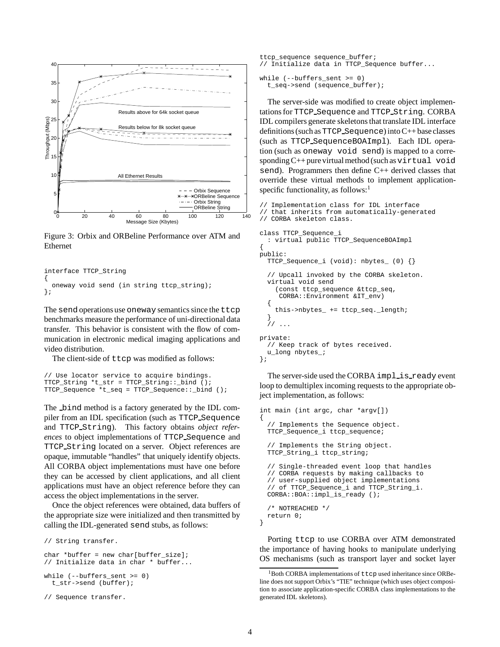

Figure 3: Orbix and ORBeline Performance over ATM and Ethernet

```
interface TTCP_String
{
 oneway void send (in string ttcp_string);
};
```
The send operations use oneway semantics since the ttcp benchmarks measure the performance of uni-directional data transfer. This behavior is consistent with the flow of communication in electronic medical imaging applications and video distribution.

The client-side of ttcp was modified as follows:

```
// Use locator service to acquire bindings.
TTCP_String *t_str = TTCP_String::_bind ();
TTCP_Sequence *t_seq = TTCP_Sequence::_bind ();
```
The bind method is a factory generated by the IDL compiler from an IDL specification (such as TTCP Sequence and TTCP String). This factory obtains *object references* to object implementations of TTCP Sequence and TTCP String located on a server. Object references are opaque, immutable "handles" that uniquely identify objects. All CORBA object implementations must have one before they can be accessed by client applications, and all client applications must have an object reference before they can access the object implementations in the server.

Once the object references were obtained, data buffers of the appropriate size were initialized and then transmitted by calling the IDL-generated send stubs, as follows:

```
// String transfer.
char *buffer = new char[buffer_size];
// Initialize data in char * buffer...
while (--buffers_sent >= 0)
  t_str->send (buffer);
// Sequence transfer.
```

```
ttcp_sequence sequence_buffer;
// Initialize data in TTCP_Sequence buffer...
```

```
while (--buffers sent >= 0)
 t_seq->send (sequence_buffer);
```
The server-side was modified to create object implementations for TTCP Sequence and TTCP String. CORBA IDL compilers generate skeletons that translate IDL interface definitions (such as  $TTCP$  Sequence) into  $C++$  base classes (such as TTCP SequenceBOAImpl). Each IDL operation (such as oneway void send) is mapped to a corresponding  $C++$  pure virtual method (such as  $virtual$  void send). Programmers then define C++ derived classes that override these virtual methods to implement applicationspecific functionality, as follows: $<sup>1</sup>$ </sup>

```
// Implementation class for IDL interface
// that inherits from automatically-generated
// CORBA skeleton class.
class TTCP_Sequence_i
  : virtual public TTCP_SequenceBOAImpl
{
public:
 TTCP_Sequence_i (void): nbytes_ (0) {}
  // Upcall invoked by the CORBA skeleton.
  virtual void send
    (const ttcp_sequence &ttcp_seq,
     CORBA::Environment &IT_env)
  {
    this->nbytes_ += ttcp_seq._length;
  }
  // ...
private:
  // Keep track of bytes received.
 u_long nbytes_;
};
```
The server-side used the CORBA implis ready event loop to demultiplex incoming requests to the appropriate object implementation, as follows:

```
int main (int argc, char *argv[])
{
  // Implements the Sequence object.
 TTCP_Sequence_i ttcp_sequence;
  // Implements the String object.
 TTCP_String_i ttcp_string;
  // Single-threaded event loop that handles
 // CORBA requests by making callbacks to
 // user-supplied object implementations
  // of TTCP_Sequence_i and TTCP_String_i.
 CORBA::BOA::impl_is_ready ();
  /* NOTREACHED */
 return 0;
}
```
Porting ttcp to use CORBA over ATM demonstrated the importance of having hooks to manipulate underlying OS mechanisms (such as transport layer and socket layer

<sup>1</sup>Both CORBA implementations of ttcp used inheritance since ORBeline does not support Orbix's "TIE" technique (which uses object composition to associate application-specific CORBA class implementations to the generated IDL skeletons).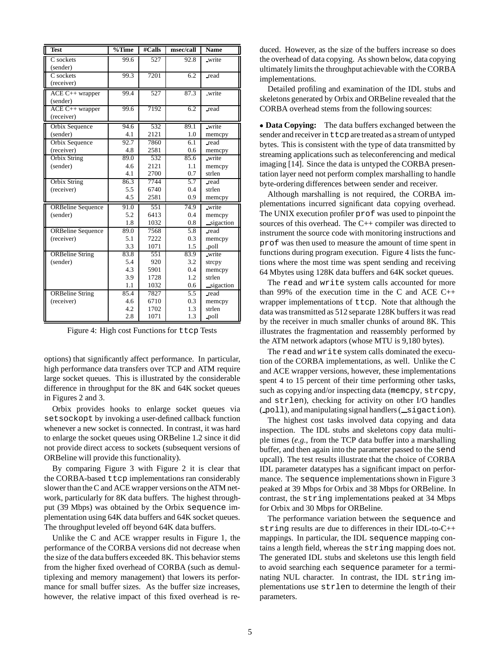| <b>Test</b>                   | $\%$ Time | #Calls | msec/call        | $\overline{\mathbf{Name}}$ |
|-------------------------------|-----------|--------|------------------|----------------------------|
| C sockets<br>(sender)         | 99.6      | 527    | 92.8             | write                      |
| C sockets<br>(receiver)       | 99.3      | 7201   | 6.2              | read                       |
| ACE C++ wrapper<br>(sender)   | 99.4      | 527    | 87.3             | write                      |
| ACE C++ wrapper<br>(receiver) | 99.6      | 7192   | 6.2              | read                       |
| Orbix Sequence                | 94.6      | 532    | 89.1             | write                      |
| (sender)                      | 4.1       | 2121   | 1.0              | memcpy                     |
| Orbix Sequence                | 92.7      | 7860   | 6.1              | read                       |
| (receiver)                    | 4.8       | 2581   | 0.6              | memcpy                     |
| Orbix String                  | 89.0      | 532    | 85.6             | write                      |
| (sender)                      | 4.6       | 2121   | 1.1              | memcpy                     |
|                               | 4.1       | 2700   | 0.7              | strlen                     |
| Orbix String                  | 86.3      | 7744   | 5.7              | read                       |
| (receiver)                    | 5.5       | 6740   | 0.4              | strlen                     |
|                               | 4.5       | 2581   | 0.9              | memcpy                     |
| <b>ORBeline Sequence</b>      | 91.0      | 551    | 74.9             | write                      |
| (sender)                      | 5.2       | 6413   | 0.4              | memcpy                     |
|                               | 1.8       | 1032   | 0.8              | sigaction                  |
| <b>ORBeline</b> Sequence      | 89.0      | 7568   | 5.8              | read                       |
| (receiver)                    | 5.1       | 7222   | 0.3              | memcpy                     |
|                               | 3.3       | 1071   | 1.5              | -poll                      |
| <b>ORBeline String</b>        | 83.8      | 551    | 83.9             | write                      |
| (sender)                      | 5.4       | 920    | 3.2              | strepy                     |
|                               | 4.3       | 5901   | 0.4              | memcpy                     |
|                               | 3.9       | 1728   | 1.2              | strlen                     |
|                               | 1.1       | 1032   | 0.6              | sigaction                  |
| <b>ORBeline String</b>        | 85.4      | 7827   | $\overline{5.5}$ | _read                      |
| (receiver)                    | 4.6       | 6710   | 0.3              | memcpy                     |
|                               | 4.2       | 1702   | 1.3              | strlen                     |
|                               | 2.8       | 1071   | 1.3              | poll                       |

Figure 4: High cost Functions for ttcp Tests

options) that significantly affect performance. In particular, high performance data transfers over TCP and ATM require large socket queues. This is illustrated by the considerable difference in throughput for the 8K and 64K socket queues in Figures 2 and 3.

Orbix provides hooks to enlarge socket queues via setsockopt by invoking a user-defined callback function whenever a new socket is connected. In contrast, it was hard to enlarge the socket queues using ORBeline 1.2 since it did not provide direct access to sockets (subsequent versions of ORBeline will provide this functionality).

By comparing Figure 3 with Figure 2 it is clear that the CORBA-based ttcp implementations ran considerably slower than the C and ACE wrapper versions on the ATM network, particularly for 8K data buffers. The highest throughput (39 Mbps) was obtained by the Orbix sequence implementation using 64K data buffers and 64K socket queues. The throughput leveled off beyond 64K data buffers.

Unlike the C and ACE wrapper results in Figure 1, the performance of the CORBA versions did not decrease when the size of the data buffers exceeded 8K. This behavior stems from the higher fixed overhead of CORBA (such as demultiplexing and memory management) that lowers its performance for small buffer sizes. As the buffer size increases, however, the relative impact of this fixed overhead is reduced. However, as the size of the buffers increase so does the overhead of data copying. As shown below, data copying ultimately limits the throughput achievable with the CORBA implementations.

Detailed profiling and examination of the IDL stubs and skeletons generated by Orbix and ORBeline revealed that the CORBA overhead stems from the following sources:

 **Data Copying:** The data buffers exchanged between the sender and receiver in  $t \tau$  are treated as a stream of untyped bytes. This is consistent with the type of data transmitted by streaming applications such as teleconferencing and medical imaging [14]. Since the data is untyped the CORBA presentation layer need not perform complex marshalling to handle byte-ordering differences between sender and receiver.

Although marshalling is not required, the CORBA implementations incurred significant data copying overhead. The UNIX execution profiler prof was used to pinpoint the sources of this overhead. The C++ compiler was directed to instrument the source code with monitoring instructions and prof was then used to measure the amount of time spent in functions during program execution. Figure 4 lists the functions where the most time was spent sending and receiving 64 Mbytes using 128K data buffers and 64K socket queues.

The read and write system calls accounted for more than 99% of the execution time in the C and ACE C++ wrapper implementations of ttcp. Note that although the data was transmitted as 512 separate 128K buffers it was read by the receiver in much smaller chunks of around 8K. This illustrates the fragmentation and reassembly performed by the ATM network adaptors (whose MTU is 9,180 bytes).

The read and write system calls dominated the execution of the CORBA implementations, as well. Unlike the C and ACE wrapper versions, however, these implementations spent 4 to 15 percent of their time performing other tasks, such as copying and/or inspecting data (memcpy, strcpy, and strlen), checking for activity on other I/O handles  $($  poll), and manipulating signal handlers  $($  sigaction).

The highest cost tasks involved data copying and data inspection. The IDL stubs and skeletons copy data multiple times (*e.g.,* from the TCP data buffer into a marshalling buffer, and then again into the parameter passed to the send upcall). The test results illustrate that the choice of CORBA IDL parameter datatypes has a significant impact on performance. The sequence implementations shown in Figure 3 peaked at 39 Mbps for Orbix and 38 Mbps for ORBeline. In contrast, the string implementations peaked at 34 Mbps for Orbix and 30 Mbps for ORBeline.

The performance variation between the sequence and string results are due to differences in their IDL-to-C++ mappings. In particular, the IDL sequence mapping contains a length field, whereas the string mapping does not. The generated IDL stubs and skeletons use this length field to avoid searching each sequence parameter for a terminating NUL character. In contrast, the IDL string implementations use strlen to determine the length of their parameters.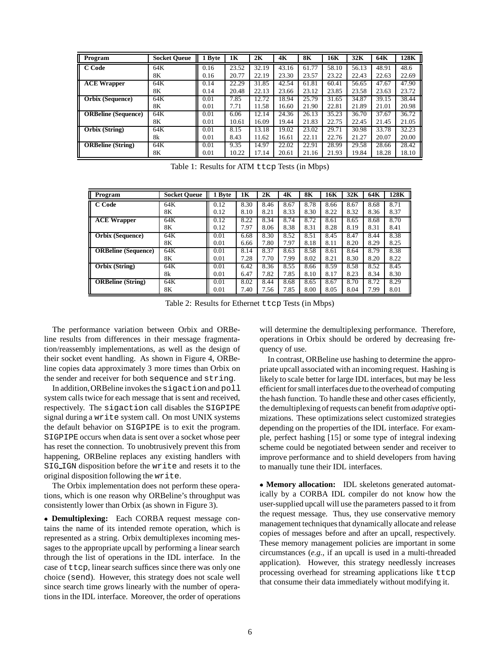| Program                    | <b>Socket Queue</b> | <b>Byte</b> | 1K    | 2K    | 4K    | <b>8K</b> | 16K   | 32K   | 64K   | 128K  |
|----------------------------|---------------------|-------------|-------|-------|-------|-----------|-------|-------|-------|-------|
| C Code                     | 64K                 | 0.16        | 23.52 | 32.19 | 43.16 | 61.77     | 58.10 | 56.13 | 48.91 | 48.6  |
|                            | 8Κ                  | 0.16        | 20.77 | 22.19 | 23.30 | 23.57     | 23.22 | 22.43 | 22.63 | 22.69 |
| <b>ACE Wrapper</b>         | 64K                 | 0.14        | 22.29 | 31.85 | 42.54 | 61.81     | 60.41 | 56.65 | 47.67 | 47.90 |
|                            | 8Κ                  | 0.14        | 20.48 | 22.13 | 23.66 | 23.12     | 23.85 | 23.58 | 23.63 | 23.72 |
| <b>Orbix</b> (Sequence)    | 64K                 | 0.01        | 7.85  | 12.72 | 18.94 | 25.79     | 31.65 | 34.87 | 39.15 | 38.44 |
|                            | 8Κ                  | 0.01        | 7.71  | 11.58 | 16.60 | 21.90     | 22.81 | 21.89 | 21.01 | 20.98 |
| <b>ORBeline</b> (Sequence) | 64K                 | 0.01        | 6.06  | 12.14 | 24.36 | 26.13     | 35.23 | 36.70 | 37.67 | 36.72 |
|                            | 8Κ                  | 0.01        | 10.61 | 16.09 | 19.44 | 21.83     | 22.75 | 22.45 | 21.45 | 21.05 |
| Orbix (String)             | 64K                 | 0.01        | 8.15  | 13.18 | 19.02 | 23.02     | 29.71 | 30.98 | 33.78 | 32.23 |
|                            | 8k                  | 0.01        | 8.43  | 11.62 | 16.61 | 22.11     | 22.76 | 21.27 | 20.07 | 20.00 |
| <b>ORBeline</b> (String)   | 64K                 | 0.01        | 9.35  | 14.97 | 22.02 | 22.91     | 28.99 | 29.58 | 28.66 | 28.42 |
|                            | 8Κ                  | 0.01        | 10.22 | 17.14 | 20.61 | 21.16     | 21.93 | 19.84 | 18.28 | 18.10 |

Table 1: Results for ATM ttcp Tests (in Mbps)

| Program                    | <b>Socket Queue</b> | 1 Byte | 1K   | 2K   | 4K   | <b>8K</b> | 16K  | 32K  | 64K  | 128K |
|----------------------------|---------------------|--------|------|------|------|-----------|------|------|------|------|
| C Code                     | 64K                 | 0.12   | 8.30 | 8.46 | 8.67 | 8.78      | 8.66 | 8.67 | 8.68 | 8.71 |
|                            | 8Κ                  | 0.12   | 8.10 | 8.21 | 8.33 | 8.30      | 8.22 | 8.32 | 8.36 | 8.37 |
| <b>ACE Wrapper</b>         | 64K                 | 0.12   | 8.22 | 8.34 | 8.74 | 8.72      | 8.61 | 8.65 | 8.68 | 8.70 |
|                            | 8Κ                  | 0.12   | 7.97 | 8.06 | 8.38 | 8.31      | 8.28 | 8.19 | 8.31 | 8.41 |
| <b>Orbix (Sequence)</b>    | 64K                 | 0.01   | 6.68 | 8.30 | 8.52 | 8.51      | 8.45 | 8.47 | 8.44 | 8.38 |
|                            | 8Κ                  | 0.01   | 6.66 | 7.80 | 7.97 | 8.18      | 8.11 | 8.20 | 8.29 | 8.25 |
| <b>ORBeline</b> (Sequence) | 64K                 | 0.01   | 8.14 | 8.37 | 8.63 | 8.58      | 8.61 | 8.64 | 8.79 | 8.38 |
|                            | 8Κ                  | 0.01   | 7.28 | 7.70 | 7.99 | 8.02      | 8.21 | 8.30 | 8.20 | 8.22 |
| <b>Orbix (String)</b>      | 64K                 | 0.01   | 6.42 | 8.36 | 8.55 | 8.66      | 8.59 | 8.58 | 8.52 | 8.45 |
|                            | 8k                  | 0.01   | 6.47 | 7.82 | 7.85 | 8.10      | 8.17 | 8.23 | 8.34 | 8.30 |
| <b>ORBeline</b> (String)   | 64K                 | 0.01   | 8.02 | 8.44 | 8.68 | 8.65      | 8.67 | 8.70 | 8.72 | 8.29 |
|                            | 8Κ                  | 0.01   | 7.40 | 7.56 | 7.85 | 8.00      | 8.05 | 8.04 | 7.99 | 8.01 |

Table 2: Results for Ethernet ttcp Tests (in Mbps)

The performance variation between Orbix and ORBeline results from differences in their message fragmentation/reassembly implementations, as well as the design of their socket event handling. As shown in Figure 4, ORBeline copies data approximately 3 more times than Orbix on the sender and receiver for both sequence and string.

In addition,ORBeline invokes the sigaction and poll system calls twice for each message that is sent and received, respectively. The sigaction call disables the SIGPIPE signal during a write system call. On most UNIX systems the default behavior on SIGPIPE is to exit the program. SIGPIPE occurs when data is sent over a socket whose peer has reset the connection. To unobtrusively prevent this from happening, ORBeline replaces any existing handlers with SIG IGN disposition before the write and resets it to the original disposition following the write.

The Orbix implementation does not perform these operations, which is one reason why ORBeline's throughput was consistently lower than Orbix (as shown in Figure 3).

 **Demultiplexing:** Each CORBA request message contains the name of its intended remote operation, which is represented as a string. Orbix demultiplexes incoming messages to the appropriate upcall by performing a linear search through the list of operations in the IDL interface. In the case of ttcp, linear search suffices since there was only one choice (send). However, this strategy does not scale well since search time grows linearly with the number of operations in the IDL interface. Moreover, the order of operations will determine the demultiplexing performance. Therefore, operations in Orbix should be ordered by decreasing frequency of use.

In contrast, ORBeline use hashing to determine the appropriate upcall associated with an incoming request. Hashing is likely to scale better for large IDL interfaces, but may be less efficient for small interfaces due to the overhead of computing the hash function. To handle these and other cases efficiently, the demultiplexing of requests can benefit from *adaptive* optimizations. These optimizations select customized strategies depending on the properties of the IDL interface. For example, perfect hashing [15] or some type of integral indexing scheme could be negotiated between sender and receiver to improve performance and to shield developers from having to manually tune their IDL interfaces.

 **Memory allocation:** IDL skeletons generated automatically by a CORBA IDL compiler do not know how the user-supplied upcall will use the parameters passed to it from the request message. Thus, they use conservative memory management techniques that dynamically allocate and release copies of messages before and after an upcall, respectively. These memory management policies are important in some circumstances (*e.g.,* if an upcall is used in a multi-threaded application). However, this strategy needlessly increases processing overhead for streaming applications like ttcp that consume their data immediately without modifying it.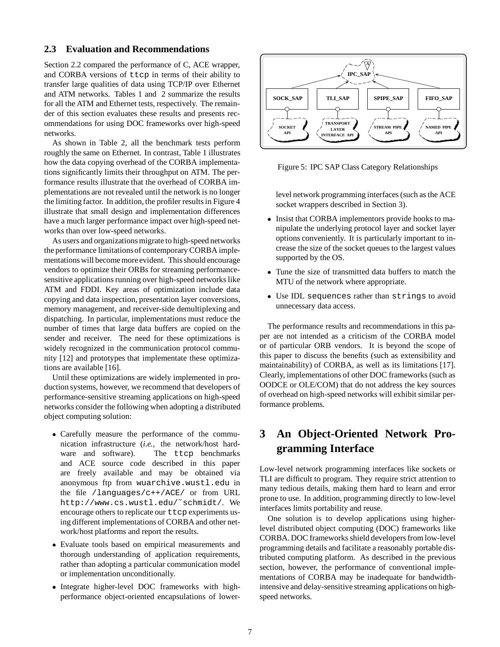## **2.3 Evaluation and Recommendations**

Section 2.2 compared the performance of C, ACE wrapper, and CORBA versions of ttcp in terms of their ability to transfer large qualities of data using TCP/IP over Ethernet and ATM networks. Tables 1 and 2 summarize the results for all the ATM and Ethernet tests, respectively. The remainder of this section evaluates these results and presents recommendations for using DOC frameworks over high-speed networks.

As shown in Table 2, all the benchmark tests perform roughly the same on Ethernet. In contrast, Table 1 illustrates how the data copying overhead of the CORBA implementations significantly limits their throughput on ATM. The performance results illustrate that the overhead of CORBA implementations are not revealed until the network is no longer the limiting factor. In addition, the profiler results in Figure 4 illustrate that small design and implementation differences have a much larger performance impact over high-speed networks than over low-speed networks.

As users and organizations migrate to high-speed networks the performance limitations of contemporary CORBA implementations will become more evident. This should encourage vendors to optimize their ORBs for streaming performancesensitive applications running over high-speed networks like ATM and FDDI. Key areas of optimization include data copying and data inspection, presentation layer conversions, memory management, and receiver-side demultiplexing and dispatching. In particular, implementations must reduce the number of times that large data buffers are copied on the sender and receiver. The need for these optimizations is widely recognized in the communication protocol community [12] and prototypes that implementate these optimizations are available [16].

Until these optimizations are widely implemented in production systems, however, we recommend that developers of performance-sensitive streaming applications on high-speed networks consider the following when adopting a distributed object computing solution:

- Carefully measure the performance of the communication infrastructure (*i.e.,* the network/host hardware and software). The ttcp benchmarks and ACE source code described in this paper are freely available and may be obtained via anonymous ftp from wuarchive.wustl.edu in the file /languages/c++/ACE/ or from URL http://www.cs.wustl.edu/˜schmidt/. We encourage others to replicate our ttcp experiments using different implementations of CORBA and other network/host platforms and report the results.
- Evaluate tools based on empirical measurements and thorough understanding of application requirements, rather than adopting a particular communication model or implementation unconditionally.
- Integrate higher-level DOC frameworks with highperformance object-oriented encapsulations of lower-



Figure 5: IPC SAP Class Category Relationships

level network programming interfaces (such as the ACE socket wrappers described in Section 3).

- $\bullet$  Insist that CORBA implementors provide hooks to manipulate the underlying protocol layer and socket layer options conveniently. It is particularly important to increase the size of the socket queues to the largest values supported by the OS.
- Tune the size of transmitted data buffers to match the MTU of the network where appropriate.
- Use IDL sequences rather than strings to avoid unnecessary data access.

The performance results and recommendations in this paper are not intended as a criticism of the CORBA model or of particular ORB vendors. It is beyond the scope of this paper to discuss the benefits (such as extensibility and maintainability) of CORBA, as well as its limitations [17]. Clearly, implementations of other DOC frameworks (such as OODCE or OLE/COM) that do not address the key sources of overhead on high-speed networks will exhibit similar performance problems.

# **3 An Object-Oriented Network Programming Interface**

Low-level network programming interfaces like sockets or TLI are difficult to program. They require strict attention to many tedious details, making them hard to learn and error prone to use. In addition, programming directly to low-level interfaces limits portability and reuse.

One solution is to develop applications using higherlevel distributed object computing (DOC) frameworks like CORBA. DOC frameworks shield developers from low-level programming details and facilitate a reasonably portable distributed computing platform. As described in the previous section, however, the performance of conventional implementations of CORBA may be inadequate for bandwidthintensive and delay-sensitive streaming applications on highspeed networks.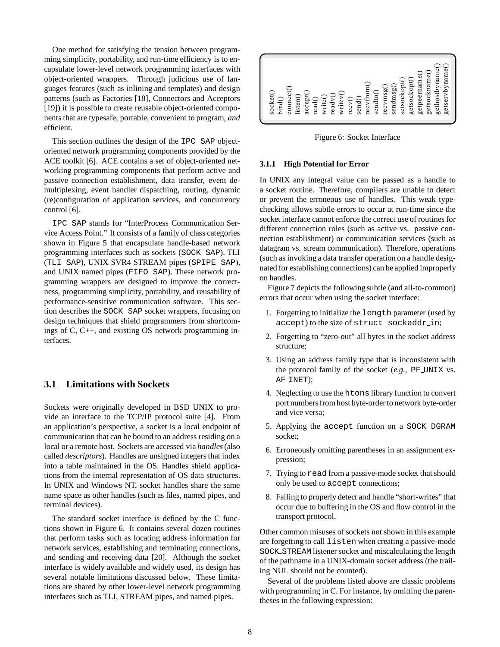One method for satisfying the tension between programming simplicity, portability, and run-time efficiency is to encapsulate lower-level network programming interfaces with object-oriented wrappers. Through judicious use of languages features (such as inlining and templates) and design patterns (such as Factories [18], Connectors and Acceptors [19]) it is possible to create reusable object-oriented components that are typesafe, portable, convenient to program, *and* efficient.

This section outlines the design of the IPC SAP objectoriented network programming components provided by the ACE toolkit [6]. ACE contains a set of object-oriented networking programming components that perform active and passive connection establishment, data transfer, event demultiplexing, event handler dispatching, routing, dynamic (re)configuration of application services, and concurrency control [6].

IPC SAP stands for "InterProcess Communication Service Access Point." It consists of a family of class categories shown in Figure 5 that encapsulate handle-based network programming interfaces such as sockets (SOCK SAP), TLI (TLI SAP), UNIX SVR4 STREAM pipes (SPIPE SAP), and UNIX named pipes (FIFO SAP). These network programming wrappers are designed to improve the correctness, programming simplicity, portability, and reusability of performance-sensitive communication software. This section describes the SOCK SAP socket wrappers, focusing on design techniques that shield programmers from shortcomings of C, C++, and existing OS network programming interfaces.

## **3.1 Limitations with Sockets**

Sockets were originally developed in BSD UNIX to provide an interface to the TCP/IP protocol suite [4]. From an application's perspective, a socket is a local endpoint of communication that can be bound to an address residing on a local or a remote host. Sockets are accessed via *handles*(also called *descriptors*). Handles are unsigned integers that index into a table maintained in the OS. Handles shield applications from the internal representation of OS data structures. In UNIX and Windows NT, socket handles share the same name space as other handles (such as files, named pipes, and terminal devices).

The standard socket interface is defined by the C functions shown in Figure 6. It contains several dozen routines that perform tasks such as locating address information for network services, establishing and terminating connections, and sending and receiving data [20]. Although the socket interface is widely available and widely used, its design has several notable limitations discussed below. These limitations are shared by other lower-level network programming interfaces such as TLI, STREAM pipes, and named pipes.



Figure 6: Socket Interface

### **3.1.1 High Potential for Error**

In UNIX any integral value can be passed as a handle to a socket routine. Therefore, compilers are unable to detect or prevent the erroneous use of handles. This weak typechecking allows subtle errors to occur at run-time since the socket interface cannot enforce the correct use of routines for different connection roles (such as active vs. passive connection establishment) or communication services (such as datagram vs. stream communication). Therefore, operations (such as invoking a data transfer operation on a handle designated for establishing connections) can be applied improperly on handles.

Figure 7 depicts the following subtle (and all-to-common) errors that occur when using the socket interface:

- 1. Forgetting to initialize the length parameter (used by accept) to the size of struct sockaddr\_in;
- 2. Forgetting to "zero-out" all bytes in the socket address structure;
- 3. Using an address family type that is inconsistent with the protocol family of the socket (*e.g.,* PF UNIX vs. AF INET);
- 4. Neglecting to use the htons library function to convert port numbers from host byte-order to network byte-order and vice versa;
- 5. Applying the accept function on a SOCK DGRAM socket;
- 6. Erroneously omitting parentheses in an assignment expression;
- 7. Trying to read from a passive-mode socket that should only be used to accept connections;
- 8. Failing to properly detect and handle "short-writes" that occur due to buffering in the OS and flow control in the transport protocol.

Other common misuses of sockets not shown in this example are forgetting to call listen when creating a passive-mode SOCK STREAM listener socket and miscalculating the length of the pathname in a UNIX-domain socket address (the trailing NUL should not be counted).

Several of the problems listed above are classic problems with programming in C. For instance, by omitting the parentheses in the following expression: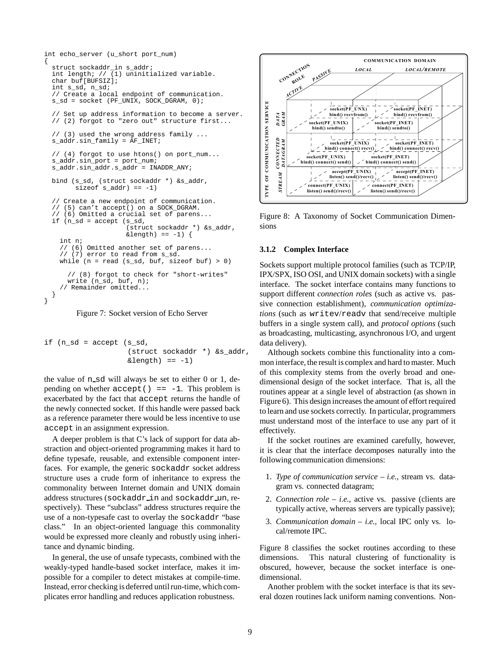```
int echo_server (u_short port_num)
{
  struct sockaddr_in s_addr;
  int length; // (1) uninitialized variable.
  char buf[BUFSIZ];
  int s_sd, n_sd;
  // Create a local endpoint of communication.
  s_sd = socket (PF_UNIX, SOCK_DGRAM, 0);
  // Set up address information to become a server.
  // (2) forgot to "zero out" structure first...
  // (3) used the wrong address family ...
  s_addr.sin_family = AF INET;
  // (4) forgot to use htons() on port_num...
  s_addr.sin_port = port_num;
  s_addr.sin_addr.s_addr = INADDR_ANY;
  bind (s_sd, (struct sockaddr *) &s_addr,
        size of s_addr) == -1)
  // Create a new endpoint of communication.
  // (5) can't accept() on a SOCK_DGRAM.
  // (6) Omitted a crucial set of parens...
  if (n_sd = accept (s_sd,
                      (struct sockaddr *) &s_addr,
                     \&length) == -1) {
    int n;
    // (6) Omitted another set of parens...
    1/ (7) error to read from s_sd.
    while (n = read (s_s d, but, size of but) > 0)// (8) forgot to check for "short-writes"
      write (n_sd, buf, n);
    // Remainder omitted...
  }
}
```
Figure 7: Socket version of Echo Server

```
if (n_sd = accept (s_sd,
                    (struct sockaddr *) &s_addr,
                    \&length) == -1)
```
the value of n sd will always be set to either 0 or 1, depending on whether  $accept() == -1$ . This problem is exacerbated by the fact that accept returns the handle of the newly connected socket. If this handle were passed back as a reference parameter there would be less incentive to use accept in an assignment expression.

A deeper problem is that C's lack of support for data abstraction and object-oriented programming makes it hard to define typesafe, reusable, and extensible component interfaces. For example, the generic sockaddr socket address structure uses a crude form of inheritance to express the commonality between Internet domain and UNIX domain address structures (sockaddr in and sockaddr un, respectively). These "subclass" address structures require the use of a non-typesafe cast to overlay the sockaddr "base class." In an object-oriented language this commonality would be expressed more cleanly and robustly using inheritance and dynamic binding.

In general, the use of unsafe typecasts, combined with the weakly-typed handle-based socket interface, makes it impossible for a compiler to detect mistakes at compile-time. Instead, error checking is deferred until run-time, which complicates error handling and reduces application robustness.



Figure 8: A Taxonomy of Socket Communication Dimensions

### **3.1.2 Complex Interface**

Sockets support multiple protocol families (such as TCP/IP, IPX/SPX, ISO OSI, and UNIX domain sockets) with a single interface. The socket interface contains many functions to support different *connection roles* (such as active vs. passive connection establishment), *communication optimizations* (such as writev/readv that send/receive multiple buffers in a single system call), and *protocol options* (such as broadcasting, multicasting, asynchronous I/O, and urgent data delivery).

Although sockets combine this functionality into a common interface, the result is complex and hard to master. Much of this complexity stems from the overly broad and onedimensional design of the socket interface. That is, all the routines appear at a single level of abstraction (as shown in Figure 6). This design increases the amount of effort required to learn and use sockets correctly. In particular, programmers must understand most of the interface to use any part of it effectively.

If the socket routines are examined carefully, however, it is clear that the interface decomposes naturally into the following communication dimensions:

- 1. *Type of communication service i.e.,* stream vs. datagram vs. connected datagram;
- 2. *Connection role i.e.,* active vs. passive (clients are typically active, whereas servers are typically passive);
- 3. *Communication domain i.e.,* local IPC only vs. local/remote IPC.

Figure 8 classifies the socket routines according to these dimensions. This natural clustering of functionality is obscured, however, because the socket interface is onedimensional.

Another problem with the socket interface is that its several dozen routines lack uniform naming conventions. Non-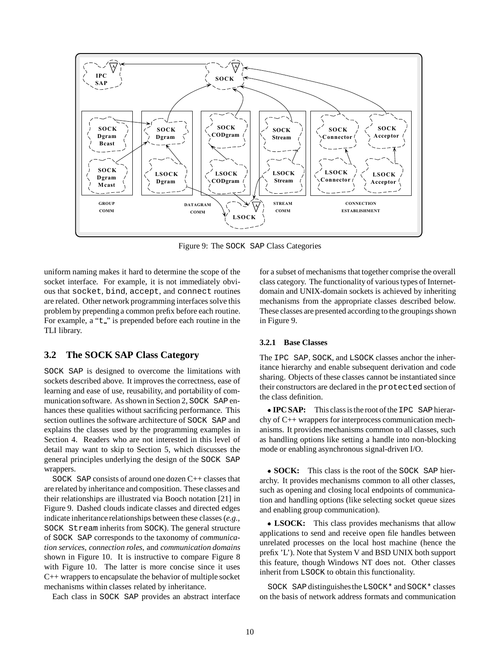

Figure 9: The SOCK SAP Class Categories

uniform naming makes it hard to determine the scope of the socket interface. For example, it is not immediately obvious that socket, bind, accept, and connect routines are related. Other network programming interfaces solve this problem by prepending a common prefix before each routine. For example, a " $t$ " is prepended before each routine in the TLI library.

## **3.2 The SOCK SAP Class Category**

SOCK SAP is designed to overcome the limitations with sockets described above. It improves the correctness, ease of learning and ease of use, reusability, and portability of communication software. As shown in Section 2, SOCK SAP enhances these qualities without sacrificing performance. This section outlines the software architecture of SOCK SAP and explains the classes used by the programming examples in Section 4. Readers who are not interested in this level of detail may want to skip to Section 5, which discusses the general principles underlying the design of the SOCK SAP wrappers.

SOCK SAP consists of around one dozen C++ classes that are related by inheritance and composition. These classes and their relationships are illustrated via Booch notation [21] in Figure 9. Dashed clouds indicate classes and directed edges indicate inheritance relationships between these classes (*e.g.,* SOCK Stream inherits from SOCK). The general structure of SOCK SAP corresponds to the taxonomy of *communication services*, *connection roles*, and *communication domains* shown in Figure 10. It is instructive to compare Figure 8 with Figure 10. The latter is more concise since it uses C++ wrappers to encapsulate the behavior of multiple socket mechanisms within classes related by inheritance.

Each class in SOCK SAP provides an abstract interface

for a subset of mechanisms that together comprise the overall class category. The functionalityof various types of Internetdomain and UNIX-domain sockets is achieved by inheriting mechanisms from the appropriate classes described below. These classes are presented according to the groupings shown in Figure 9.

## **3.2.1 Base Classes**

The IPC SAP, SOCK, and LSOCK classes anchor the inheritance hierarchy and enable subsequent derivation and code sharing. Objects of these classes cannot be instantiated since their constructors are declared in the protected section of the class definition.

**IPC SAP:** This class is the root of the IPC SAP hierarchy of C++ wrappers for interprocess communication mechanisms. It provides mechanisms common to all classes, such as handling options like setting a handle into non-blocking mode or enabling asynchronous signal-driven I/O.

 **SOCK:** This class is the root of the SOCK SAP hierarchy. It provides mechanisms common to all other classes, such as opening and closing local endpoints of communication and handling options (like selecting socket queue sizes and enabling group communication).

 **LSOCK:** This class provides mechanisms that allow applications to send and receive open file handles between unrelated processes on the local host machine (hence the prefix 'L'). Note that System V and BSD UNIX both support this feature, though Windows NT does not. Other classes inherit from LSOCK to obtain this functionality.

SOCK SAPdistinguishesthe LSOCK\* and SOCK\* classes on the basis of network address formats and communication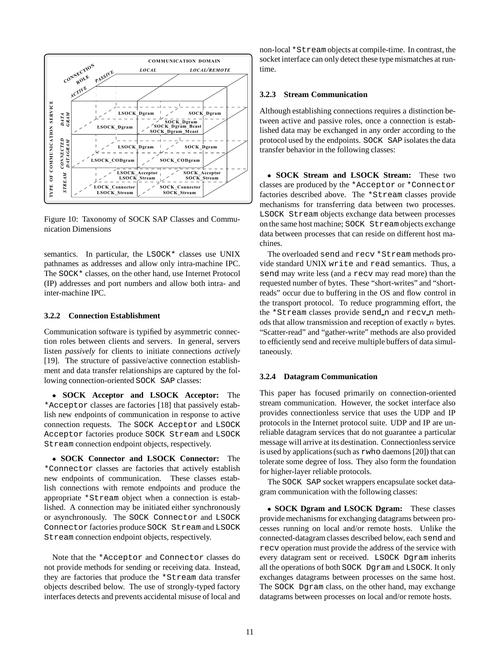

Figure 10: Taxonomy of SOCK SAP Classes and Communication Dimensions

semantics. In particular, the LSOCK\* classes use UNIX pathnames as addresses and allow only intra-machine IPC. The SOCK\* classes, on the other hand, use Internet Protocol (IP) addresses and port numbers and allow both intra- and inter-machine IPC.

### **3.2.2 Connection Establishment**

Communication software is typified by asymmetric connection roles between clients and servers. In general, servers listen *passively* for clients to initiate connections *actively* [19]. The structure of passive/active connection establishment and data transfer relationships are captured by the following connection-oriented SOCK SAP classes:

 **SOCK Acceptor and LSOCK Acceptor:** The \*Acceptor classes are factories [18] that passively establish new endpoints of communication in response to active connection requests. The SOCK Acceptor and LSOCK Acceptor factories produce SOCK Stream and LSOCK Stream connection endpoint objects, respectively.

 **SOCK Connector and LSOCK Connector:** The \*Connector classes are factories that actively establish new endpoints of communication. These classes establish connections with remote endpoints and produce the appropriate \*Stream object when a connection is established. A connection may be initiated either synchronously or asynchronously. The SOCK Connector and LSOCK Connector factories produce SOCK Stream and LSOCK Stream connection endpoint objects, respectively.

Note that the \*Acceptor and Connector classes do not provide methods for sending or receiving data. Instead, they are factories that produce the \*Stream data transfer objects described below. The use of strongly-typed factory interfaces detects and prevents accidental misuse of local and

non-local \*Stream objects at compile-time. In contrast, the socket interface can only detect these type mismatches at runtime.

### **3.2.3 Stream Communication**

Although establishing connections requires a distinction between active and passive roles, once a connection is established data may be exchanged in any order according to the protocol used by the endpoints. SOCK SAP isolates the data transfer behavior in the following classes:

 **SOCK Stream and LSOCK Stream:** These two classes are produced by the \*Acceptor or \*Connector factories described above. The \*Stream classes provide mechanisms for transferring data between two processes. LSOCK Stream objects exchange data between processes on the same host machine; SOCK Stream objects exchange data between processes that can reside on different host machines.

The overloaded send and recv \*Stream methods provide standard UNIX write and read semantics. Thus, a send may write less (and a recv may read more) than the requested number of bytes. These "short-writes" and "shortreads" occur due to buffering in the OS and flow control in the transport protocol. To reduce programming effort, the the \*Stream classes provide send n and recv n methods that allow transmission and reception of exactly <sup>n</sup> bytes. "Scatter-read" and "gather-write" methods are also provided to efficiently send and receive multiple buffers of data simultaneously.

#### **3.2.4 Datagram Communication**

This paper has focused primarily on connection-oriented stream communication. However, the socket interface also provides connectionless service that uses the UDP and IP protocols in the Internet protocol suite. UDP and IP are unreliable datagram services that do not guarantee a particular message will arrive at its destination. Connectionless service is used by applications (such as rwho daemons [20]) that can tolerate some degree of loss. They also form the foundation for higher-layer reliable protocols.

The SOCK SAP socket wrappers encapsulate socket datagram communication with the following classes:

 **SOCK Dgram and LSOCK Dgram:** These classes provide mechanisms for exchanging datagrams between processes running on local and/or remote hosts. Unlike the connected-datagram classes described below, each send and recv operation must provide the address of the service with every datagram sent or received. LSOCK Dgram inherits all the operations of both SOCK Dgram and LSOCK. It only exchanges datagrams between processes on the same host. The SOCK Dgram class, on the other hand, may exchange datagrams between processes on local and/or remote hosts.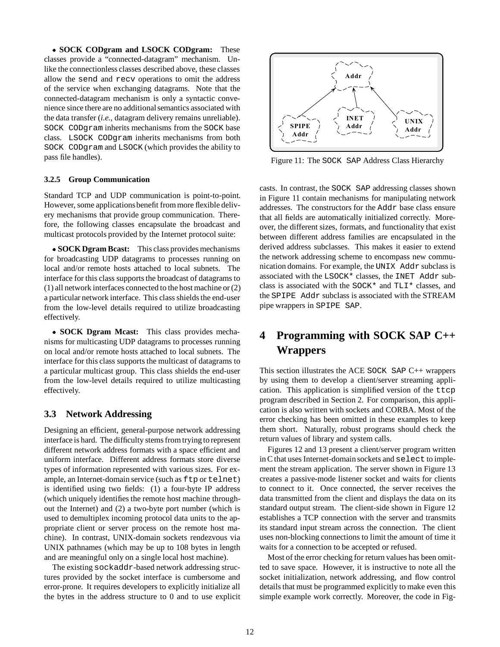**SOCK CODgram and LSOCK CODgram:** These classes provide a "connected-datagram" mechanism. Unlike the connectionless classes described above, these classes allow the send and recv operations to omit the address of the service when exchanging datagrams. Note that the connected-datagram mechanism is only a syntactic convenience since there are no additional semantics associated with the data transfer (*i.e.,* datagram delivery remains unreliable). SOCK CODgram inherits mechanisms from the SOCK base class. LSOCK CODgram inherits mechanisms from both SOCK CODgram and LSOCK (which provides the ability to pass file handles).

## **3.2.5 Group Communication**

Standard TCP and UDP communication is point-to-point. However, some applicationsbenefit from more flexible delivery mechanisms that provide group communication. Therefore, the following classes encapsulate the broadcast and multicast protocols provided by the Internet protocol suite:

 **SOCK Dgram Bcast:** This class provides mechanisms for broadcasting UDP datagrams to processes running on local and/or remote hosts attached to local subnets. The interface for this class supports the broadcast of datagrams to (1) all network interfaces connected to the host machine or (2) a particular network interface. This class shields the end-user from the low-level details required to utilize broadcasting effectively.

 **SOCK Dgram Mcast:** This class provides mechanisms for multicasting UDP datagrams to processes running on local and/or remote hosts attached to local subnets. The interface for this class supports the multicast of datagrams to a particular multicast group. This class shields the end-user from the low-level details required to utilize multicasting effectively.

## **3.3 Network Addressing**

Designing an efficient, general-purpose network addressing interface is hard. The difficulty stems from trying to represent different network address formats with a space efficient and uniform interface. Different address formats store diverse types of information represented with various sizes. For example, an Internet-domain service (such as  $ftp$  or  $telnet)$ is identified using two fields: (1) a four-byte IP address (which uniquely identifies the remote host machine throughout the Internet) and (2) a two-byte port number (which is used to demultiplex incoming protocol data units to the appropriate client or server process on the remote host machine). In contrast, UNIX-domain sockets rendezvous via UNIX pathnames (which may be up to 108 bytes in length and are meaningful only on a single local host machine).

The existing sockaddr-based network addressing structures provided by the socket interface is cumbersome and error-prone. It requires developers to explicitly initialize all the bytes in the address structure to 0 and to use explicit



Figure 11: The SOCK SAP Address Class Hierarchy

casts. In contrast, the SOCK SAP addressing classes shown in Figure 11 contain mechanisms for manipulating network addresses. The constructors for the Addr base class ensure that all fields are automatically initialized correctly. Moreover, the different sizes, formats, and functionality that exist between different address families are encapsulated in the derived address subclasses. This makes it easier to extend the network addressing scheme to encompass new communication domains. For example, the UNIX Addr subclass is associated with the LSOCK\* classes, the INET Addr subclass is associated with the SOCK\* and TLI\* classes, and the SPIPE Addr subclass is associated with the STREAM pipe wrappers in SPIPE SAP.

# **4 Programming with SOCK SAP C++ Wrappers**

This section illustrates the ACE SOCK SAP C++ wrappers by using them to develop a client/server streaming application. This application is simplified version of the ttcp program described in Section 2. For comparison, this application is also written with sockets and CORBA. Most of the error checking has been omitted in these examples to keep them short. Naturally, robust programs should check the return values of library and system calls.

Figures 12 and 13 present a client/server program written in C that uses Internet-domain sockets and select to implement the stream application. The server shown in Figure 13 creates a passive-mode listener socket and waits for clients to connect to it. Once connected, the server receives the data transmitted from the client and displays the data on its standard output stream. The client-side shown in Figure 12 establishes a TCP connection with the server and transmits its standard input stream across the connection. The client uses non-blocking connections to limit the amount of time it waits for a connection to be accepted or refused.

Most of the error checking for return values has been omitted to save space. However, it is instructive to note all the socket initialization, network addressing, and flow control details that must be programmed explicitly to make even this simple example work correctly. Moreover, the code in Fig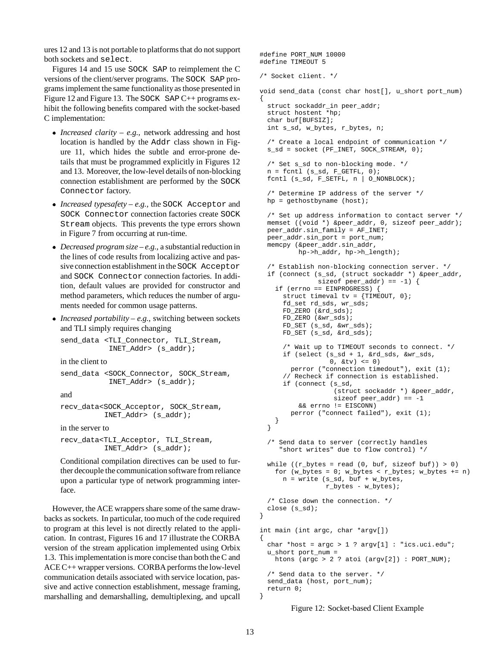ures 12 and 13 is not portable to platforms that do not support both sockets and select.

Figures 14 and 15 use SOCK SAP to reimplement the C versions of the client/server programs. The SOCK SAP programs implement the same functionalityas those presented in Figure 12 and Figure 13. The SOCK SAP C++ programs exhibit the following benefits compared with the socket-based C implementation:

- *Increased clarity e.g.,* network addressing and host location is handled by the Addr class shown in Figure 11, which hides the subtle and error-prone details that must be programmed explicitly in Figures 12 and 13. Moreover, the low-level details of non-blocking connection establishment are performed by the SOCK Connector factory.
- *Increased typesafety e.g.,* the SOCK Acceptor and SOCK Connector connection factories create SOCK Stream objects. This prevents the type errors shown in Figure 7 from occurring at run-time.
- *Decreased program size e.g.,* a substantial reduction in the lines of code results from localizing active and passive connection establishment in the SOCK Acceptor and SOCK Connector connection factories. In addition, default values are provided for constructor and method parameters, which reduces the number of arguments needed for common usage patterns.
- *Increased portability e.g.,* switching between sockets and TLI simply requires changing

```
send_data <TLI_Connector, TLI_Stream,
            INET_Addr> (s_addr);
in the client to
```
send\_data <SOCK\_Connector, SOCK\_Stream, INET\_Addr> (s\_addr);

and

```
recv_data<SOCK_Acceptor, SOCK_Stream,
          INET_Addr> (s_addr);
```
in the server to

```
recv_data<TLI_Acceptor, TLI_Stream,
          INET_Addr> (s_addr);
```
Conditional compilation directives can be used to further decouple the communication software from reliance upon a particular type of network programming interface.

However, the ACE wrappers share some of the same drawbacks as sockets. In particular, too much of the code required to program at this level is not directly related to the application. In contrast, Figures 16 and 17 illustrate the CORBA version of the stream application implemented using Orbix 1.3. This implementation is more concise than both the C and ACE C++ wrapper versions. CORBA performs the low-level communication details associated with service location, passive and active connection establishment, message framing, marshalling and demarshalling, demultiplexing, and upcall

```
#define PORT_NUM 10000
#define TIMEOUT 5
/* Socket client. */
void send_data (const char host[], u_short port_num)
{
 struct sockaddr_in peer_addr;
 struct hostent *hp;
  char buf[BUFSIZ];
 int s_sd, w_bytes, r_bytes, n;
  /* Create a local endpoint of communication */
 s_sd = socket (PF_INET, SOCK_STREAM, 0);
  /* Set s sd to non-blocking mode. */
 n = fcnt1 (s_s/d, F_GETFL, 0);fcntl (s_sd, F_SETFL, n | O_NONBLOCK);
  /* Determine IP address of the server */
 hp = qethostbyname (host);/* Set up address information to contact server */
 memset ((void *) &peer_addr, 0, sizeof peer_addr);
 peer_addr.sin_family = AF_INET;
 peer_addr.sin_port = port_num;
 memcpy (&peer_addr.sin_addr,
         hp->h_addr, hp->h_length);
  /* Establish non-blocking connection server. */
  if (connect (s_sd, (struct sockaddr *) &peer_addr,
              sizeof peer\_addr) == -1) {
    if (errno == EINPROGRESS) {
     struct timeval tv = \{ TIMEOUT, 0};
      fd_set rd_sds, wr_sds;
     FD_ZERO (&rd_sds);
     FD_ZERO (&wr_sds);
      FD_SET (s_sd, &wr_sds);
     FD_SET (s_sd, &rd_sds);
      /* Wait up to TIMEOUT seconds to connect. */
     if (select (s_sd + 1, &rd_sds, &wr_sds,
                  0, \&tv \leq 0)
       perror ("connection timedout"), exit (1);
      // Recheck if connection is established.
     if (connect (s_sd,
                   (struct sockaddr *) &peer_addr,
                  sizeof peer_addr) == -1
          && errno != EISCONN)
        perror ("connect failed"), exit (1);
    }
 }
  /* Send data to server (correctly handles
     "short writes" due to flow control) */
 while ((r_bytes = read (0, but, sizeof but)) > 0)for (w_bytes = 0; w_bytes < r_bytes; w_bytes += n)n = write (s_sd, buf + w_bytes,
                 r_bytes - w_bytes);
  /* Close down the connection. */
 close (s_sd);
}
int main (int argc, char *argv[])
{
 char *host = \arg c > 1 ? \arg v[1] : "ics.uci.edu";
 u_short port_num =
   htons (argc > 2 ? atoi (argv[2]) : PORT_NUM);
  /* Send data to the server. */
 send_data (host, port_num);
 return 0;
```
Figure 12: Socket-based Client Example

}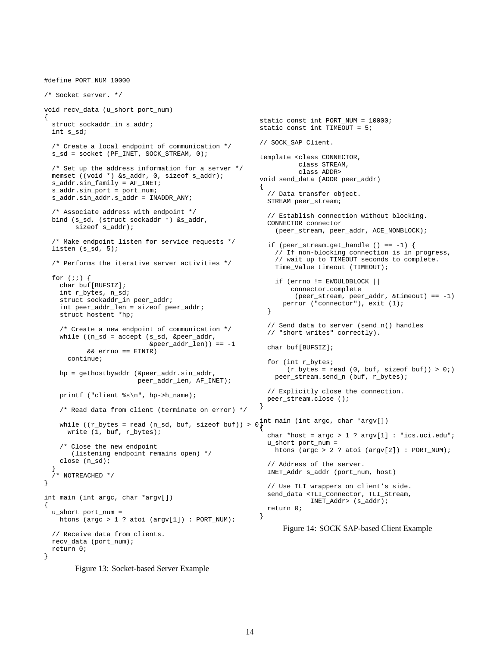```
#define PORT_NUM 10000
/* Socket server. */
void recv_data (u_short port_num)
{
  struct sockaddr_in s_addr;
 int s_sd;
  /* Create a local endpoint of communication */
 s_sd = socket (PF_INET, SOCK_STREAM, 0);
  /* Set up the address information for a server */
 memset ((void *) &s_addr, 0, sizeof s_addr);
  s_addr.sin_family = AF_INET;
  s_addr.sin_port = port_num;
  s_addr.sin_addr.s_addr = INADDR_ANY;
  /* Associate address with endpoint */
 bind (s_sd, (struct sockaddr *) &s_addr,
        sizeof s_addr);
  /* Make endpoint listen for service requests */
  listen (s_sd, 5);
  /* Performs the iterative server activities */
  for (i; j) {
    char buf[BUFSIZ];
    int r_bytes, n_sd;
    struct sockaddr_in peer_addr;
    int peer_addr_len = sizeof peer_addr;
    struct hostent *hp;
    /* Create a new endpoint of communication */
    while ((n_sd = accept (s_sd, &peer_addr,
                           \&peer\_addr\_len)) == -1&& errno == EINTR)
      continue;
   hp = gethostbyaddr (&peer_addr.sin_addr,
                        peer_addr_len, AF_INET);
   printf ("client %s\n", hp->h_name);
    /* Read data from client (terminate on error) */
    while ((r_bytes = read (n_sd, buf, sizeof buf)) > 0 int main (int argc, char *argv[])
     write (1, buf, r_bytes);
    /* Close the new endpoint
       (listening endpoint remains open) */
    close (n_sd);
  }
  /* NOTREACHED */
}
int main (int argc, char *argv[])
{
  u_short port_num =
   htons (argc > 1 ? atoi (argv[1]) : PORT_NUM);
  // Receive data from clients.
 recv_data (port_num);
 return 0;
}
                                                        static const int PORT_NUM = 10000;
                                                        static const int TIMEOUT = 5;
                                                        // SOCK_SAP Client.
                                                        template <class CONNECTOR,
                                                                  class STREAM,
                                                                  class ADDR>
                                                        void send_data (ADDR peer_addr)
                                                         {
                                                           // Data transfer object.
                                                          STREAM peer_stream;
                                                          // Establish connection without blocking.
                                                          CONNECTOR connector
                                                            (peer_stream, peer_addr, ACE_NONBLOCK);
                                                          if (peer_stream.get_handle () == -1) {
                                                            // If non-blocking connection is in progress,
                                                            // wait up to TIMEOUT seconds to complete.
                                                            Time Value timeout (TIMEOUT);
                                                            if (errno != EWOULDBLOCK ||
                                                                 connector.complete
                                                                  (peer_stream, peer_addr, &timeout) == -1)
                                                              perror ("connector"), exit (1);
                                                          }
                                                          // Send data to server (send_n() handles
                                                          // "short writes" correctly).
                                                          char buf[BUFSIZ];
                                                          for (int r_bytes;
                                                               (r_bytes = read (0, but, sizeof but)) > 0;
                                                            peer_stream.send_n (buf, r_bytes);
                                                          // Explicitly close the connection.
                                                          peer_stream.close ();
                                                        }
                                                         {
                                                          char *host = \arg c > 1 ? \arg v[1] : "ics.uci.edu";
                                                          u_short port_num =
                                                            htons (argc > 2 ? atoi (argv[2]) : PORT_NUM);
                                                          // Address of the server.
                                                          INET_Addr s_addr (port_num, host)
                                                          // Use TLI wrappers on client's side.
                                                          send_data <TLI_Connector, TLI_Stream,
                                                                      INET_Addr> (s_addr);
                                                          return 0;
                                                        }
                                                              Figure 14: SOCK SAP-based Client Example
```
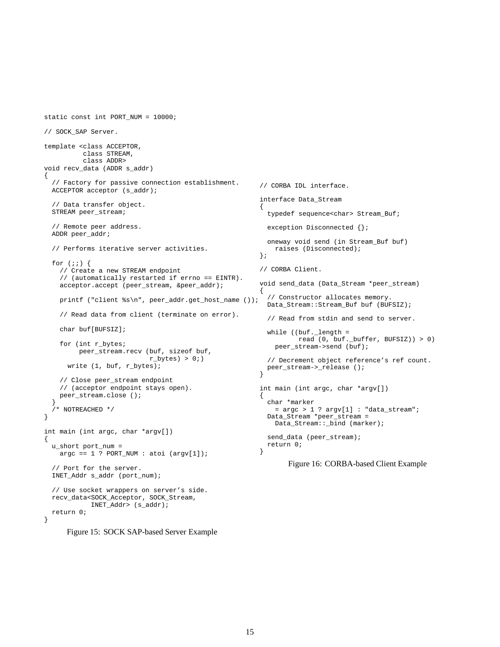```
// SOCK_SAP Server.
template <class ACCEPTOR,
         class STREAM,
          class ADDR>
void recv_data (ADDR s_addr)
{
  // Factory for passive connection establishment.
 ACCEPTOR acceptor (s_addr);
  // Data transfer object.
 STREAM peer_stream;
  // Remote peer address.
 ADDR peer_addr;
  // Performs iterative server activities.
  for (i; j) {
    // Create a new STREAM endpoint
    // (automatically restarted if errno == EINTR).
    acceptor.accept (peer_stream, &peer_addr);
   printf ("client %s\n", peer_addr.get_host_name ());
    // Read data from client (terminate on error).
    char buf[BUFSIZ];
    for (int r_bytes;
        peer_stream.recv (buf, sizeof buf,
                           r_bytes) > 0;write (1, buf, r_bytes);
    // Close peer_stream endpoint
    // (acceptor endpoint stays open).
   peer_stream.close ();
  }
  /* NOTREACHED */
}
int main (int argc, char *argv[])
{
 u_short port_num =
   \arg c == 1 ? \text{PORT\_NUM} : \text{atoi} (\arg v[1]);// Port for the server.
  INET_Addr s_addr (port_num);
                                                         // CORBA IDL interface.
                                                         interface Data_Stream
                                                         {
                                                           typedef sequence<char> Stream_Buf;
                                                           exception Disconnected {};
                                                           oneway void send (in Stream_Buf buf)
                                                             raises (Disconnected);
                                                         };
                                                         // CORBA Client.
                                                         void send_data (Data_Stream *peer_stream)
                                                         {
                                                           // Constructor allocates memory.
                                                           Data_Stream::Stream_Buf buf (BUFSIZ);
                                                           // Read from stdin and send to server.
                                                           while ((buf._length =
                                                                    read (0, buf._buffer, BUFSIZ)) > 0)
                                                             peer_stream->send (buf);
                                                           // Decrement object reference's ref count.
                                                           peer_stream->_release ();
                                                         }
                                                         int main (int argc, char *argv[])
                                                         {
                                                           char *marker
                                                             = \arg c > 1 ? \arg v[1] : "data_stream";
                                                           Data_Stream *peer_stream =
                                                             Data_Stream::_bind (marker);
                                                           send_data (peer_stream);
                                                           return 0;
                                                         }
                                                                 Figure 16: CORBA-based Client Example
```

```
// Use socket wrappers on server's side.
recv_data<SOCK_Acceptor, SOCK_Stream,
          INET_Addr> (s_addr);
return 0;
```
}

static const int PORT NUM = 10000;

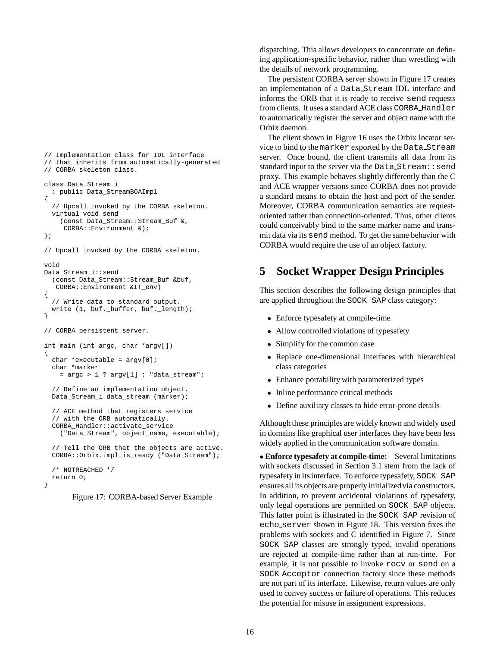```
// Implementation class for IDL interface
// that inherits from automatically-generated
// CORBA skeleton class.
class Data_Stream_i
  : public Data_StreamBOAImpl
{
  // Upcall invoked by the CORBA skeleton.
  virtual void send
    (const Data_Stream::Stream_Buf &,
     CORBA::Environment &);
};
// Upcall invoked by the CORBA skeleton.
void
Data_Stream_i::send
  (const Data_Stream::Stream_Buf &buf,
   CORBA::Environment &IT_env)
{
  // Write data to standard output.
  write (1, buf._buffer, buf._length);
}
// CORBA persistent server.
int main (int argc, char *argv[])
{
  char *executable = argv[0];
  char *marker
    = \arg c > 1 ? \arg v[1] : "data_stream";
  // Define an implementation object.
  Data_Stream_i data_stream (marker);
  // ACE method that registers service
  // with the ORB automatically.
  CORBA_Handler::activate_service
    ("Data_Stream", object_name, executable);
  // Tell the ORB that the objects are active.
  CORBA::Orbix.impl_is_ready ("Data_Stream");
  /* NOTREACHED */
  return 0;
```

```
}
```
Figure 17: CORBA-based Server Example

dispatching. This allows developers to concentrate on defining application-specific behavior, rather than wrestling with the details of network programming.

The persistent CORBA server shown in Figure 17 creates an implementation of a Data Stream IDL interface and informs the ORB that it is ready to receive send requests from clients. It uses a standard ACE class CORBA Handler to automatically register the server and object name with the Orbix daemon.

The client shown in Figure 16 uses the Orbix locator service to bind to the marker exported by the Data Stream server. Once bound, the client transmits all data from its standard input to the server via the Data Stream: : send proxy. This example behaves slightly differently than the C and ACE wrapper versions since CORBA does not provide a standard means to obtain the host and port of the sender. Moreover, CORBA communication semantics are requestoriented rather than connection-oriented. Thus, other clients could conceivably bind to the same marker name and transmit data via its send method. To get the same behavior with CORBA would require the use of an object factory.

# **5 Socket Wrapper Design Principles**

This section describes the following design principles that are applied throughout the SOCK SAP class category:

- Enforce typesafety at compile-time
- Allow controlled violations of typesafety
- Simplify for the common case
- Replace one-dimensional interfaces with hierarchical class categories
- Enhance portability with parameterized types
- Inline performance critical methods
- Define auxiliary classes to hide error-prone details

Although these principles are widely known and widely used in domains like graphical user interfaces they have been less widely applied in the communication software domain.

 **Enforce typesafety at compile-time:** Several limitations with sockets discussed in Section 3.1 stem from the lack of typesafety in its interface. To enforce typesafety, SOCK SAP ensures all its objects are properly initialized via constructors. In addition, to prevent accidental violations of typesafety, only legal operations are permitted on SOCK SAP objects. This latter point is illustrated in the SOCK SAP revision of echo server shown in Figure 18. This version fixes the problems with sockets and C identified in Figure 7. Since SOCK SAP classes are strongly typed, invalid operations are rejected at compile-time rather than at run-time. For example, it is not possible to invoke recv or send on a SOCK Acceptor connection factory since these methods are not part of its interface. Likewise, return values are only used to convey success or failure of operations. This reduces the potential for misuse in assignment expressions.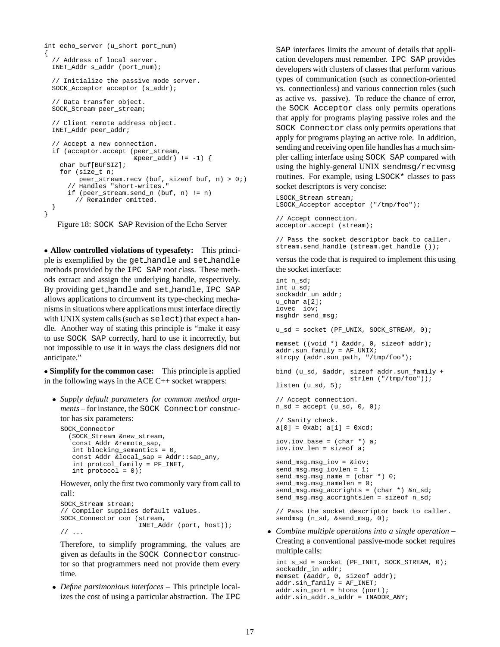```
int echo_server (u_short port_num)
{
  // Address of local server.
  INET_Addr s_addr (port_num);
  // Initialize the passive mode server.
  SOCK Acceptor acceptor (s addr);
  // Data transfer object.
  SOCK_Stream peer_stream;
  // Client remote address object.
  INET_Addr peer_addr;
  // Accept a new connection.
  if (acceptor.accept (peer_stream,
                        \&\text{peer\_addr} != -1) {
    char buf[BUFSIZ];
    for (size_t n;
         peer_stream.recv (buf, sizeof buf, n) > 0;)
      // Handles "short-writes."
      if (peer_stream.send_n (buf, n) != n)
        // Remainder omitted.
  }
}
   Figure 18: SOCK SAP Revision of the Echo Server
```
 **Allow controlled violations of typesafety:** This principle is exemplified by the get handle and set handle methods provided by the IPC SAP root class. These methods extract and assign the underlying handle, respectively. By providing get handle and set handle, IPC SAP allows applications to circumvent its type-checking mechanisms in situations where applications must interface directly with UNIX system calls (such as select) that expect a handle. Another way of stating this principle is "make it easy to use SOCK SAP correctly, hard to use it incorrectly, but not impossible to use it in ways the class designers did not anticipate."

 **Simplify for the common case:** This principle is applied in the following ways in the ACE C++ socket wrappers:

 *Supply default parameters for common method arguments* – for instance, the SOCK Connector constructor has six parameters:

```
SOCK_Connector
  (SOCK_Stream &new_stream,
   const Addr &remote_sap,
   int blocking_semantics = 0,
   const Addr &local_sap = Addr::sap_any,
   int protcol_family = PF_ INET,
   int protocol = 0);
```
However, only the first two commonly vary from call to call:

```
SOCK_Stream stream;
// Compiler supplies default values.
SOCK_Connector con (stream,
                    INET_Addr (port, host));
// ...
```
Therefore, to simplify programming, the values are given as defaults in the SOCK Connector constructor so that programmers need not provide them every time.

 *Define parsimonious interfaces* – This principle localizes the cost of using a particular abstraction. The IPC SAP interfaces limits the amount of details that application developers must remember. IPC SAP provides developers with clusters of classes that perform various types of communication (such as connection-oriented vs. connectionless) and various connection roles (such as active vs. passive). To reduce the chance of error, the SOCK Acceptor class only permits operations that apply for programs playing passive roles and the SOCK Connector class only permits operations that apply for programs playing an active role. In addition, sending and receiving open file handles has a much simpler calling interface using SOCK SAP compared with using the highly-general UNIX sendmsg/recvmsg routines. For example, using LSOCK\* classes to pass socket descriptors is very concise:

LSOCK\_Stream stream; LSOCK\_Acceptor acceptor ("/tmp/foo");

// Accept connection. acceptor.accept (stream);

// Pass the socket descriptor back to caller. stream.send\_handle (stream.get\_handle ());

versus the code that is required to implement this using the socket interface:

```
int n_sd;
int u_sd;
sockaddr_un addr;
u_char a[2];
iovec iov;
msghdr send_msg;
u_sd = socket (PF_UNIX, SOCK_STREAM, 0);
memset ((void *) &addr, 0, sizeof addr);
addr.sun_family = AF_UNIX;
strcpy (addr.sun_path, "/tmp/foo");
bind (u_sd, &addr, sizeof addr.sun_family +
                   strlen ("/tmp/foo"));
listen (u_sd, 5);
// Accept connection.
n_sd = accept (u_sd, 0, 0);
// Sanity check.
a[0] = 0xab; a[1] = 0xcd;
iov.iov_base = (char *) a;
iov.iov_len = sizeof a;
send_msg.msg_iov = &iov;
send_msg.msg_iovlen = 1;
send_msg.msg_name = (char *) 0;
send_msg.msg_namelen = 0;
send_msg.msg_accrights = (char *) &n_sd;
send_msg.msg_accrightslen = sizeof n_sd;
// Pass the socket descriptor back to caller.
sendmsg (n_sd, &send_msg, 0);
```
 *Combine multiple operations into a single operation* – Creating a conventional passive-mode socket requires multiple calls:

```
int s_sd = socket (PF_INET, SOCK_STREAM, 0);
sockaddr_in addr;
memset (&addr, 0, sizeof addr);
addr.sin_family = AF_INET;
addr.sin_port = htons (port);
addr.sin_addr.s_addr = INADDR_ANY;
```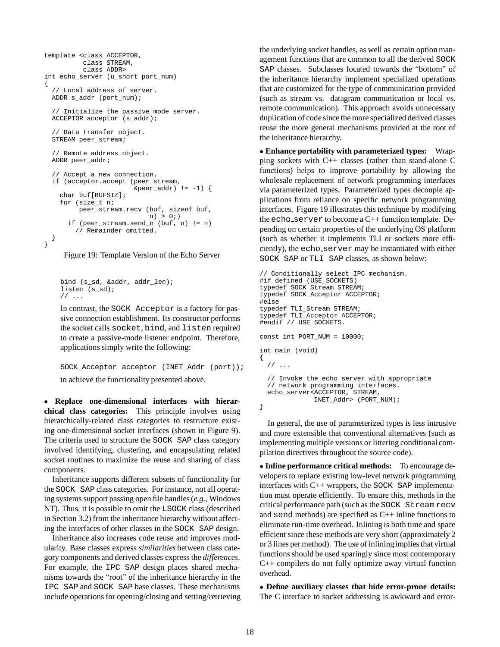```
template <class ACCEPTOR,
          class STREAM,
          class ADDR>
int echo_server (u_short port_num)
{
  // Local address of server.
 ADDR s_addr (port_num);
  // Initialize the passive mode server.
 ACCEPTOR acceptor (s_addr);
  // Data transfer object.
 STREAM peer_stream;
  // Remote address object.
 ADDR peer_addr;
  // Accept a new connection.
 if (acceptor.accept (peer_stream,
                        \text{Eper}_\text{addr} := -1) {
    char buf[BUFSIZ];
    for (size t n;
         peer stream.recv (buf, sizeof buf,
                            n) > 0;if (peer_stream.send_n (buf, n) != n)
        // Remainder omitted.
 }
}
```


```
bind (s_sd, &addr, addr_len);
listen (s sd);
// ...
```
In contrast, the SOCK Acceptor is a factory for passive connection establishment. Its constructor performs the socket calls socket, bind, and listen required to create a passive-mode listener endpoint. Therefore, applications simply write the following:

```
SOCK_Acceptor acceptor (INET_Addr (port));
to achieve the functionality presented above.
```
 **Replace one-dimensional interfaces with hierarchical class categories:** This principle involves using hierarchically-related class categories to restructure existing one-dimensional socket interfaces (shown in Figure 9). The criteria used to structure the SOCK SAP class category involved identifying, clustering, and encapsulating related socket routines to maximize the reuse and sharing of class components.

Inheritance supports different subsets of functionality for the SOCK SAP class categories. For instance, not all operating systems support passing open file handles (*e.g.,* Windows NT). Thus, it is possible to omit the LSOCK class (described in Section 3.2) from the inheritance hierarchy without affecting the interfaces of other classes in the SOCK SAP design.

Inheritance also increases code reuse and improves modularity. Base classes express *similarities* between class category components and derived classes express the *differences*. For example, the IPC SAP design places shared mechanisms towards the "root" of the inheritance hierarchy in the IPC SAP and SOCK SAP base classes. These mechanisms include operations for opening/closing and setting/retrieving the underlying socket handles, as well as certain option management functions that are common to all the derived SOCK SAP classes. Subclasses located towards the "bottom" of the inheritance hierarchy implement specialized operations that are customized for the type of communication provided (such as stream vs. datagram communication or local vs. remote communication). This approach avoids unnecessary duplication of code since the more specialized derived classes reuse the more general mechanisms provided at the root of the inheritance hierarchy.

 **Enhance portability with parameterized types:** Wrapping sockets with C++ classes (rather than stand-alone C functions) helps to improve portability by allowing the wholesale replacement of network programming interfaces via parameterized types. Parameterized types decouple applications from reliance on specific network programming interfaces. Figure 19 illustrates this technique by modifying the echo server to become a  $C_{++}$  function template. Depending on certain properties of the underlying OS platform (such as whether it implements TLI or sockets more efficiently), the echo server may be instantiated with either SOCK SAP or TLI SAP classes, as shown below:

```
// Conditionally select IPC mechanism.
#if defined (USE SOCKETS)
typedef SOCK_Stream STREAM;
typedef SOCK_Acceptor ACCEPTOR;
#else
typedef TLI_Stream STREAM;
typedef TLI_Acceptor ACCEPTOR;
#endif // USE_SOCKETS.
const int PORT_NUM = 10000;
int main (void)
{
 // ...
 // Invoke the echo_server with appropriate
 // network programming interfaces.
 echo_server<ACCEPTOR, STREAM,
              INET_Addr> (PORT_NUM);
}
```
In general, the use of parameterized types is less intrusive and more extensible that conventional alternatives (such as implementing multiple versions or littering conditional compilation directives throughout the source code).

 **Inline performance critical methods:** To encourage developers to replace existing low-level network programming interfaces with C++ wrappers, the SOCK SAP implementation must operate efficiently. To ensure this, methods in the critical performance path (such as the SOCK Stream recv and send methods) are specified as  $C_{++}$  inline functions to eliminate run-time overhead. Inlining is both time and space efficient since these methods are very short (approximately 2 or 3 lines per method). The use of inliningimplies that virtual functions should be used sparingly since most contemporary C++ compilers do not fully optimize away virtual function overhead.

 **Define auxiliary classes that hide error-prone details:** The C interface to socket addressing is awkward and error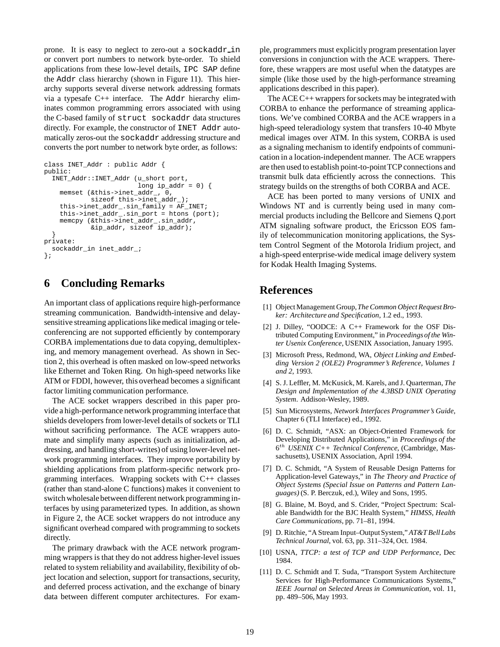prone. It is easy to neglect to zero-out a sockaddr in or convert port numbers to network byte-order. To shield applications from these low-level details, IPC SAP define the Addr class hierarchy (shown in Figure 11). This hierarchy supports several diverse network addressing formats via a typesafe C++ interface. The Addr hierarchy eliminates common programming errors associated with using the C-based family of struct sockaddr data structures directly. For example, the constructor of INET Addr automatically zeros-out the sockaddr addressing structure and converts the port number to network byte order, as follows:

```
class INET_Addr : public Addr {
public:
  INET_Addr::INET_Addr (u_short port,
                        long ip addr = 0 {
    memset (&this->inet_addr_, 0,
            sizeof this->inet_addr_);
    this->inet_addr_.sin_family = AF_INET;
    this->inet_addr_.sin_port = htons (port);
    memcpy (&this->inet_addr_.sin_addr,
            &ip_addr, sizeof ip_addr);
  }
private:
 sockaddr_in inet_addr_;
};
```
# **6 Concluding Remarks**

An important class of applications require high-performance streaming communication. Bandwidth-intensive and delaysensitive streaming applications like medical imaging or teleconferencing are not supported efficiently by contemporary CORBA implementations due to data copying, demultiplexing, and memory management overhead. As shown in Section 2, this overhead is often masked on low-speed networks like Ethernet and Token Ring. On high-speed networks like ATM or FDDI, however, this overhead becomes a significant factor limiting communication performance.

The ACE socket wrappers described in this paper provide a high-performance network programming interface that shields developers from lower-level details of sockets or TLI without sacrificing performance. The ACE wrappers automate and simplify many aspects (such as initialization, addressing, and handling short-writes) of using lower-level network programming interfaces. They improve portability by shielding applications from platform-specific network programming interfaces. Wrapping sockets with C++ classes (rather than stand-alone C functions) makes it convenient to switch wholesale between different network programming interfaces by using parameterized types. In addition, as shown in Figure 2, the ACE socket wrappers do not introduce any significant overhead compared with programming to sockets directly.

The primary drawback with the ACE network programming wrappers is that they do not address higher-level issues related to system reliability and availability, flexibility of object location and selection, support for transactions, security, and deferred process activation, and the exchange of binary data between different computer architectures. For example, programmers must explicitly program presentation layer conversions in conjunction with the ACE wrappers. Therefore, these wrappers are most useful when the datatypes are simple (like those used by the high-performance streaming applications described in this paper).

The ACE C++ wrappers for sockets may be integrated with CORBA to enhance the performance of streaming applications. We've combined CORBA and the ACE wrappers in a high-speed teleradiology system that transfers 10-40 Mbyte medical images over ATM. In this system, CORBA is used as a signaling mechanism to identify endpoints of communication in a location-independent manner. The ACE wrappers are then used to establish point-to-pointTCP connections and transmit bulk data efficiently across the connections. This strategy builds on the strengths of both CORBA and ACE.

ACE has been ported to many versions of UNIX and Windows NT and is currently being used in many commercial products including the Bellcore and Siemens Q.port ATM signaling software product, the Ericsson EOS family of telecommunication monitoring applications, the System Control Segment of the Motorola Iridium project, and a high-speed enterprise-wide medical image delivery system for Kodak Health Imaging Systems.

# **References**

- [1] Object Management Group,*The Common Object Request Broker: Architecture and Specification*, 1.2 ed., 1993.
- [2] J. Dilley, "OODCE: A C++ Framework for the OSF Distributed Computing Environment," in *Proceedingsof the Winter Usenix Conference*, USENIX Association, January 1995.
- [3] Microsoft Press, Redmond, WA, *Object Linking and Embedding Version 2 (OLE2) Programmer's Reference, Volumes 1 and 2*, 1993.
- [4] S. J. Leffler, M. McKusick, M. Karels, and J. Quarterman, *The Design and Implementation of the 4.3BSD UNIX Operating System*. Addison-Wesley, 1989.
- [5] Sun Microsystems, *Network Interfaces Programmer's Guide*, Chapter 6 (TLI Interface) ed., 1992.
- [6] D. C. Schmidt, "ASX: an Object-Oriented Framework for Developing Distributed Applications," in *Proceedings of the* 6th *USENIX C++ Technical Conference*, (Cambridge, Massachusetts), USENIX Association, April 1994.
- [7] D. C. Schmidt, "A System of Reusable Design Patterns for Application-level Gateways," in *The Theory and Practice of Object Systems (Special Issue on Patterns and Pattern Languages)* (S. P. Berczuk, ed.), Wiley and Sons, 1995.
- [8] G. Blaine, M. Boyd, and S. Crider, "Project Spectrum: Scalable Bandwidth for the BJC Health System," *HIMSS, Health Care Communications*, pp. 71–81, 1994.
- [9] D. Ritchie, "A Stream Input–OutputSystem," *AT&T Bell Labs Technical Journal*, vol. 63, pp. 311–324, Oct. 1984.
- [10] USNA, *TTCP: a test of TCP and UDP Performance*, Dec 1984.
- [11] D. C. Schmidt and T. Suda, "Transport System Architecture Services for High-Performance Communications Systems," *IEEE Journal on Selected Areas in Communication*, vol. 11, pp. 489–506, May 1993.